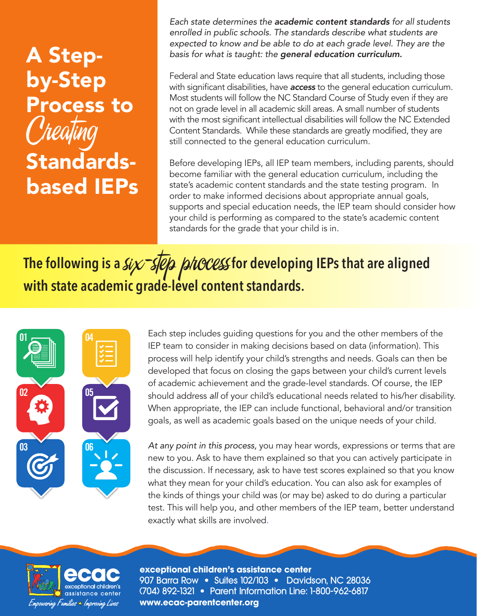# A Stepby-Step Process to Creating Standardsbased IEPs

*Each state determines the academic content standards for all students enrolled in public schools. The standards describe what students are expected to know and be able to do at each grade level. They are the basis for what is taught: the general education curriculum.* 

Federal and State education laws require that all students, including those with significant disabilities, have *access* to the general education curriculum. Most students will follow the NC Standard Course of Study even if they are not on grade level in all academic skill areas. A small number of students with the most significant intellectual disabilities will follow the NC Extended Content Standards. While these standards are greatly modified, they are still connected to the general education curriculum.

Before developing IEPs, all IEP team members, including parents, should become familiar with the general education curriculum, including the state's academic content standards and the state testing program. In order to make informed decisions about appropriate annual goals, supports and special education needs, the IEP team should consider how your child is performing as compared to the state's academic content standards for the grade that your child is in.

# **The following is a Six STEP phocess for developing IEPs that are aligned** with state academic grade-level content standards.



Each step includes guiding questions for you and the other members of the IEP team to consider in making decisions based on data (information). This process will help identify your child's strengths and needs. Goals can then be developed that focus on closing the gaps between your child's current levels of academic achievement and the grade-level standards. Of course, the IEP should address *all* of your child's educational needs related to his/her disability. When appropriate, the IEP can include functional, behavioral and/or transition goals, as well as academic goals based on the unique needs of your child.

*At any point in this process,* you may hear words, expressions or terms that are new to you. Ask to have them explained so that you can actively participate in the discussion. If necessary, ask to have test scores explained so that you know what they mean for your child's education. You can also ask for examples of the kinds of things your child was (or may be) asked to do during a particular test. This will help you, and other members of the IEP team, better understand exactly what skills are involved.



**exceptional children's assistance center** 907 Barra Row • Suites 102/103 • Davidson, NC 28036 (704) 892-1321 • Parent Information Line: 1-800-962-6817 **www.ecac-parentcenter.org**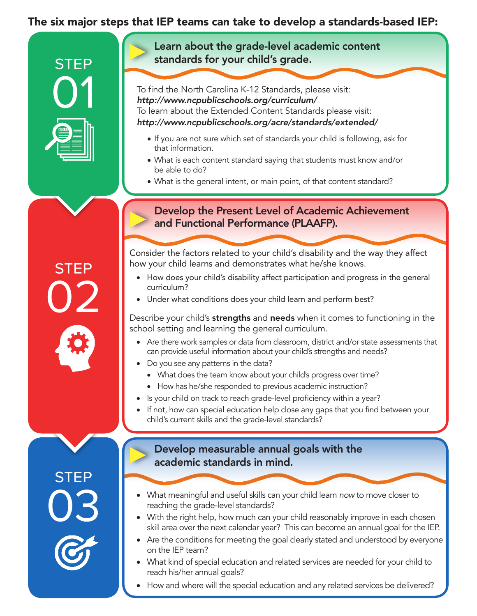# The six major steps that IEP teams can take to develop a standards-based IEP:



**STEP** 

02

**STEP** 

03

Learn about the grade-level academic content standards for your child's grade.

To find the North Carolina K-12 Standards, please visit: *http://www.ncpublicschools.org/curriculum/* To learn about the Extended Content Standards please visit: *http://www.ncpublicschools.org/acre/standards/extended/*

- If you are not sure which set of standards your child is following, ask for that information.
- What is each content standard saying that students must know and/or be able to do?
- What is the general intent, or main point, of that content standard?

#### Develop the Present Level of Academic Achievement and Functional Performance (PLAAFP).

Consider the factors related to your child's disability and the way they affect how your child learns and demonstrates what he/she knows.

- • How does your child's disability affect participation and progress in the general curriculum?
- Under what conditions does your child learn and perform best?

Describe your child's strengths and needs when it comes to functioning in the school setting and learning the general curriculum.

- Are there work samples or data from classroom, district and/or state assessments that can provide useful information about your child's strengths and needs?
- Do you see any patterns in the data?
	- What does the team know about your child's progress over time?
	- How has he/she responded to previous academic instruction?
- Is your child on track to reach grade-level proficiency within a year?
- If not, how can special education help close any gaps that you find between your child's current skills and the grade-level standards?

#### Develop measurable annual goals with the academic standards in mind.

- What meaningful and useful skills can your child learn *now* to move closer to reaching the grade-level standards?
- With the right help, how much can your child reasonably improve in each chosen skill area over the next calendar year? This can become an annual goal for the IEP.
- Are the conditions for meeting the goal clearly stated and understood by everyone on the IEP team?
- What kind of special education and related services are needed for your child to reach his/her annual goals?
- How and where will the special education and any related services be delivered?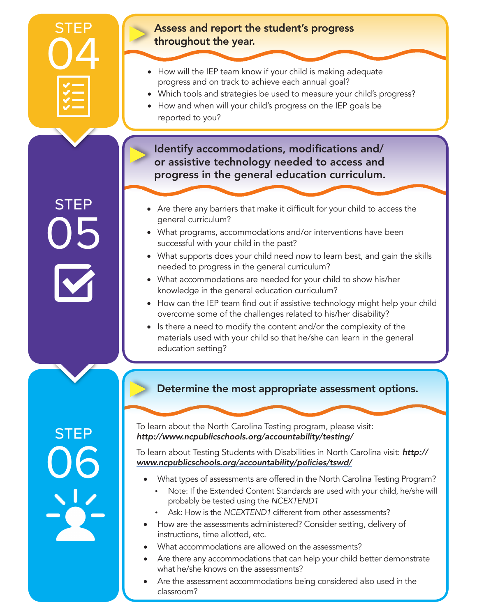

**STEP** 

05

#### Assess and report the student's progress throughout the year.

- How will the IEP team know if your child is making adequate progress and on track to achieve each annual goal?
- Which tools and strategies be used to measure your child's progress?
- How and when will your child's progress on the IEP goals be reported to you?

Identify accommodations, modifications and/ or assistive technology needed to access and progress in the general education curriculum.

- Are there any barriers that make it difficult for your child to access the general curriculum?
- What programs, accommodations and/or interventions have been successful with your child in the past?
- • What supports does your child need *now* to learn best, and gain the skills needed to progress in the general curriculum?
- What accommodations are needed for your child to show his/her knowledge in the general education curriculum?
- How can the IEP team find out if assistive technology might help your child overcome some of the challenges related to his/her disability?
- Is there a need to modify the content and/or the complexity of the materials used with your child so that he/she can learn in the general education setting?

## Determine the most appropriate assessment options.

**STEP** 06 To learn about the North Carolina Testing program, please visit: *http://www.ncpublicschools.org/accountability/testing/*

To learn about Testing Students with Disabilities in North Carolina visit: *http:// www.ncpublicschools.org/accountability/policies/tswd/*

- What types of assessments are offered in the North Carolina Testing Program?
	- Note: If the Extended Content Standards are used with your child, he/she will probably be tested using the *NCEXTEND1*
	- Ask: How is the *NCEXTEND1* different from other assessments?
- How are the assessments administered? Consider setting, delivery of instructions, time allotted, etc.
- What accommodations are allowed on the assessments?
- Are there any accommodations that can help your child better demonstrate what he/she knows on the assessments?
- Are the assessment accommodations being considered also used in the classroom?